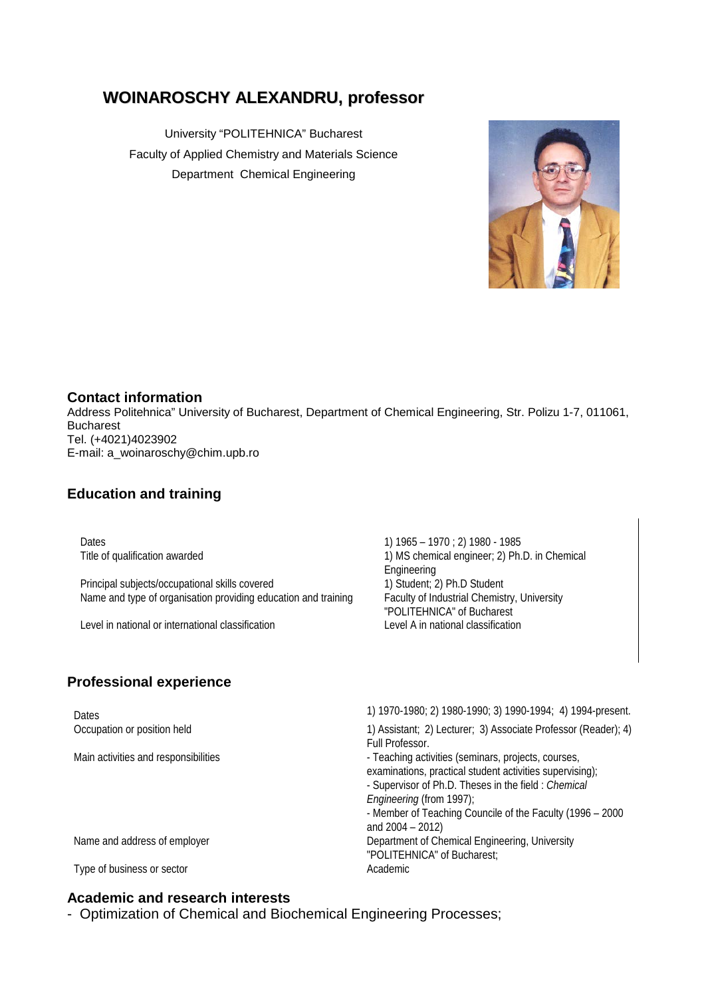# **WOINAROSCHY ALEXANDRU, professor**

University "POLITEHNICA" Bucharest Faculty of Applied Chemistry and Materials Science Department Chemical Engineering



#### **Contact information**

Address Politehnica" University of Bucharest, Department of Chemical Engineering, Str. Polizu 1-7, 011061, Bucharest Tel. (+4021)4023902 E-mail: a\_woinaroschy@chim.upb.ro

## **Education and training**

Principal subjects/occupational skills covered 1) Student; 2) Ph.D Student Name and type of organisation providing education and training Faculty of Industrial Chemistry, University

Level in national or international classification Level A in national classification

# **Professional experience**

Dates 1) 1965 – 1970 ; 2) 1980 - 1985 Title of qualification awarded 1) MS chemical engineer; 2) Ph.D. in Chemical engineer; 2) Ph.D. in Chemical Engineering "POLITEHNICA" of Bucharest

Dates 1) 1970-1980; 2) 1980-1990; 3) 1990-1994; 4) 1994-present. Occupation or position held 1) Assistant; 2) Lecturer; 3) Associate Professor (Reader); 4) Full Professor. Main activities and responsibilities - Teaching activities (seminars, projects, courses, examinations, practical student activities supervising); - Supervisor of Ph.D. Theses in the field : *Chemical Engineering* (from 1997); - Member of Teaching Councile of the Faculty (1996 – 2000 and 2004 – 2012) Name and address of employer **Department of Chemical Engineering, University** "POLITEHNICA" of Bucharest; Type of business or sector Academic Academic

# **Academic and research interests**

- Optimization of Chemical and Biochemical Engineering Processes;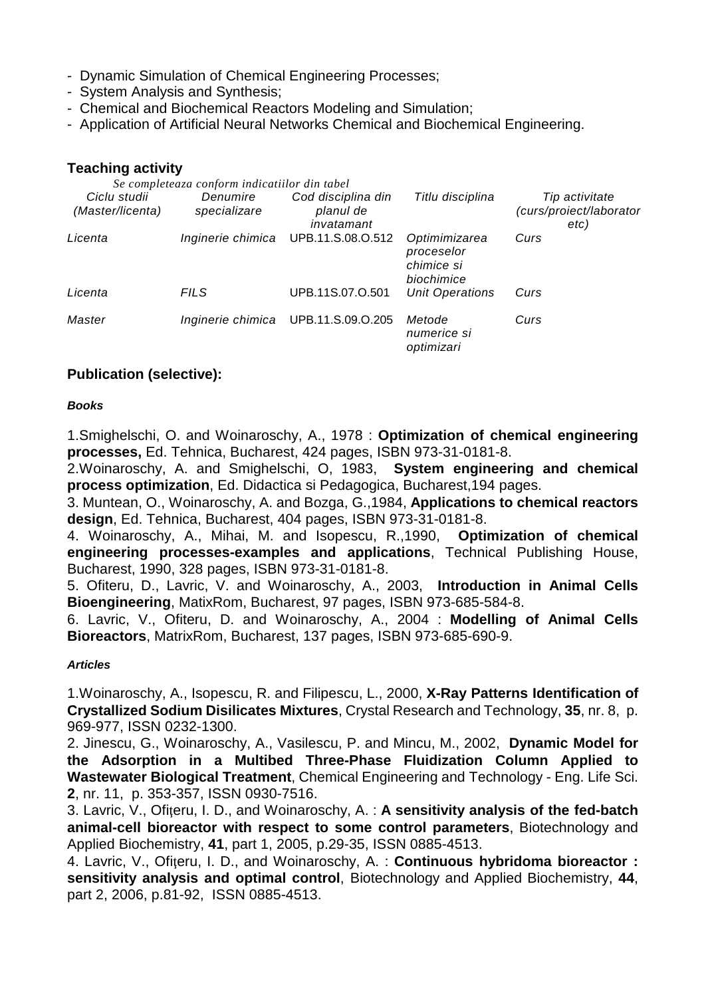- Dynamic Simulation of Chemical Engineering Processes;
- System Analysis and Synthesis;
- Chemical and Biochemical Reactors Modeling and Simulation;
- Application of Artificial Neural Networks Chemical and Biochemical Engineering.

#### **Teaching activity**

| Se completeaza conform indicatiilor din tabel |                          |                                               |                                                         |                                                   |
|-----------------------------------------------|--------------------------|-----------------------------------------------|---------------------------------------------------------|---------------------------------------------------|
| Ciclu studii<br>(Master/licenta)              | Denumire<br>specializare | Cod disciplina din<br>planul de<br>invatamant | Titlu disciplina                                        | Tip activitate<br>(curs/proiect/laborator<br>etc) |
| Licenta                                       |                          | Inginerie chimica UPB.11.S.08.O.512           | Optimimizarea<br>proceselor<br>chimice si<br>biochimice | Curs                                              |
| Licenta                                       | <b>FILS</b>              | UPB.11S.07.O.501                              | <b>Unit Operations</b>                                  | Curs                                              |
| Master                                        |                          | Inginerie chimica UPB.11.S.09.O.205           | Metode<br>numerice si<br>optimizari                     | Curs                                              |

### **Publication (selective):**

#### *Books*

1.Smighelschi, O. and Woinaroschy, A., 1978 : **Optimization of chemical engineering processes,** Ed. Tehnica, Bucharest, 424 pages, ISBN 973-31-0181-8.

2.Woinaroschy, A. and Smighelschi, O, 1983, **System engineering and chemical process optimization**, Ed. Didactica si Pedagogica, Bucharest,194 pages.

3. Muntean, O., Woinaroschy, A. and Bozga, G.,1984, **Applications to chemical reactors design**, Ed. Tehnica, Bucharest, 404 pages, ISBN 973-31-0181-8.

4. Woinaroschy, A., Mihai, M. and Isopescu, R.,1990, **Optimization of chemical engineering processes-examples and applications**, Technical Publishing House, Bucharest, 1990, 328 pages, ISBN 973-31-0181-8.

5. Ofiteru, D., Lavric, V. and Woinaroschy, A., 2003, **Introduction in Animal Cells Bioengineering**, MatixRom, Bucharest, 97 pages, ISBN 973-685-584-8.

6. Lavric, V., Ofiteru, D. and Woinaroschy, A., 2004 : **Modelling of Animal Cells Bioreactors**, MatrixRom, Bucharest, 137 pages, ISBN 973-685-690-9.

#### *Articles*

1.Woinaroschy, A., Isopescu, R. and Filipescu, L., 2000, **X-Ray Patterns Identification of Crystallized Sodium Disilicates Mixtures**, Crystal Research and Technology, **35**, nr. 8, p. 969-977, ISSN 0232-1300.

2. Jinescu, G., Woinaroschy, A., Vasilescu, P. and Mincu, M., 2002, **Dynamic Model for the Adsorption in a Multibed Three-Phase Fluidization Column Applied to Wastewater Biological Treatment**, Chemical Engineering and Technology - Eng. Life Sci. **2**, nr. 11, p. 353-357, ISSN 0930-7516.

3. Lavric, V., Ofiţeru, I. D., and Woinaroschy, A. : **A sensitivity analysis of the fed-batch animal-cell bioreactor with respect to some control parameters**, Biotechnology and Applied Biochemistry, **41**, part 1, 2005, p.29-35, ISSN 0885-4513.

4. Lavric, V., Ofiţeru, I. D., and Woinaroschy, A. : **Continuous hybridoma bioreactor : sensitivity analysis and optimal control**, Biotechnology and Applied Biochemistry, **44**, part 2, 2006, p.81-92, ISSN 0885-4513.